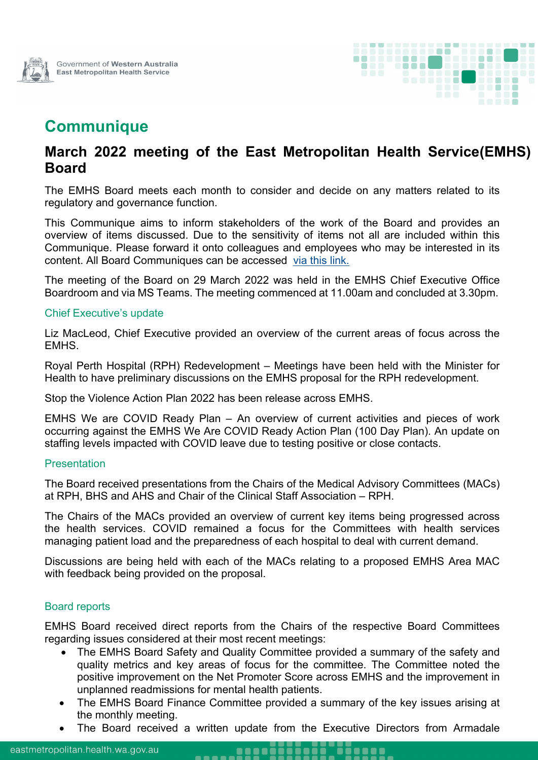



# **Communique**

# **March 2022 meeting of the East Metropolitan Health Service (EMHS) Board**

The EMHS Board meets each month to consider and decide on any matters related to its regulatory and governance function.

This Communique aims to inform stakeholders of the work of the Board and provides an overview of items discussed. Due to the sensitivity of items not all are included within this Communique. Please forward it onto colleagues and employees who may be interested in its content. All Board Communiques can be accessed [via this link.](https://emhs.health.wa.gov.au/About-Us/Health-Service-Board)

The meeting of the Board on 29 March 2022 was held in the EMHS Chief Executive Office Boardroom and via MS Teams. The meeting commenced at 11.00am and concluded at 3.30pm.

#### Chief Executive's update

Liz MacLeod, Chief Executive provided an overview of the current areas of focus across the EMHS.

Royal Perth Hospital (RPH) Redevelopment – Meetings have been held with the Minister for Health to have preliminary discussions on the EMHS proposal for the RPH redevelopment.

Stop the Violence Action Plan 2022 has been release across EMHS.

EMHS We are COVID Ready Plan – An overview of current activities and pieces of work occurring against the EMHS We Are COVID Ready Action Plan (100 Day Plan). An update on staffing levels impacted with COVID leave due to testing positive or close contacts.

#### **Presentation**

The Board received presentations from the Chairs of the Medical Advisory Committees (MACs) at RPH, BHS and AHS and Chair of the Clinical Staff Association – RPH.

The Chairs of the MACs provided an overview of current key items being progressed across the health services. COVID remained a focus for the Committees with health services managing patient load and the preparedness of each hospital to deal with current demand.

Discussions are being held with each of the MACs relating to a proposed EMHS Area MAC with feedback being provided on the proposal.

### Board reports

EMHS Board received direct reports from the Chairs of the respective Board Committees regarding issues considered at their most recent meetings:

- The EMHS Board Safety and Quality Committee provided a summary of the safety and quality metrics and key areas of focus for the committee. The Committee noted the positive improvement on the Net Promoter Score across EMHS and the improvement in unplanned readmissions for mental health patients.
- The EMHS Board Finance Committee provided a summary of the key issues arising at the monthly meeting.
- The Board received a written update from the Executive Directors from Armadale

**.....** 

**DE MONTE**